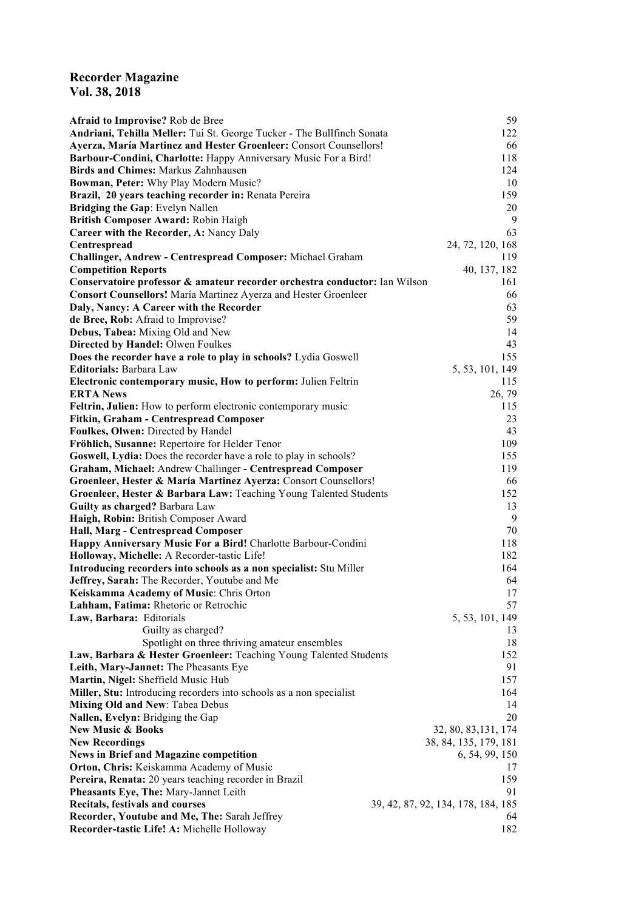## **Recorder Magazine Vol. 38, 2018**

| Afraid to Improvise? Rob de Bree                                           | 59                                 |
|----------------------------------------------------------------------------|------------------------------------|
| Andriani, Tehilla Meller: Tui St. George Tucker - The Bullfinch Sonata     | 122                                |
| Ayerza, María Martinez and Hester Groenleer: Consort Counsellors!          | 66                                 |
| Barbour-Condini, Charlotte: Happy Anniversary Music For a Bird!            | 118                                |
| <b>Birds and Chimes: Markus Zahnhausen</b>                                 | 124                                |
| Bowman, Peter: Why Play Modern Music?                                      | 10                                 |
| Brazil, 20 years teaching recorder in: Renata Pereira                      | 159                                |
| Bridging the Gap: Evelyn Nallen                                            | 20                                 |
| British Composer Award: Robin Haigh                                        | 9                                  |
| Career with the Recorder, A: Nancy Daly                                    | 63                                 |
| Centrespread                                                               | 24, 72, 120, 168                   |
| Challinger, Andrew - Centrespread Composer: Michael Graham                 | 119                                |
| <b>Competition Reports</b>                                                 | 40, 137, 182                       |
| Conservatoire professor & amateur recorder orchestra conductor: Ian Wilson | 161                                |
| <b>Consort Counsellors!</b> María Martinez Ayerza and Hester Groenleer     | 66                                 |
| Daly, Nancy: A Career with the Recorder                                    | 63                                 |
| de Bree, Rob: Afraid to Improvise?                                         | 59                                 |
| Debus, Tabea: Mixing Old and New                                           | 14                                 |
| Directed by Handel: Olwen Foulkes                                          | 43                                 |
| Does the recorder have a role to play in schools? Lydia Goswell            | 155                                |
| Editorials: Barbara Law                                                    | 5, 53, 101, 149                    |
| Electronic contemporary music, How to perform: Julien Feltrin              | 115                                |
| <b>ERTA</b> News                                                           | 26, 79                             |
| Feltrin, Julien: How to perform electronic contemporary music              | 115                                |
| Fitkin, Graham - Centrespread Composer                                     | 23                                 |
| Foulkes, Olwen: Directed by Handel                                         | 43                                 |
| Fröhlich, Susanne: Repertoire for Helder Tenor                             | 109                                |
| Goswell, Lydia: Does the recorder have a role to play in schools?          | 155                                |
| Graham, Michael: Andrew Challinger - Centrespread Composer                 | 119                                |
| Groenleer, Hester & María Martinez Ayerza: Consort Counsellors!            | 66                                 |
| Groenleer, Hester & Barbara Law: Teaching Young Talented Students          | 152                                |
| Guilty as charged? Barbara Law                                             | 13                                 |
| Haigh, Robin: British Composer Award                                       | 9                                  |
| Hall, Marg - Centrespread Composer                                         | 70                                 |
| Happy Anniversary Music For a Bird! Charlotte Barbour-Condini              | 118                                |
| Holloway, Michelle: A Recorder-tastic Life!                                | 182                                |
| Introducing recorders into schools as a non specialist: Stu Miller         | 164                                |
| Jeffrey, Sarah: The Recorder, Youtube and Me                               | 64                                 |
| Keiskamma Academy of Music: Chris Orton                                    | 17                                 |
| Lahham, Fatima: Rhetoric or Retrochic                                      | 57                                 |
| Law, Barbara: Editorials                                                   | 5, 53, 101, 149                    |
| Guilty as charged?                                                         | 13                                 |
| Spotlight on three thriving amateur ensembles                              | 18                                 |
| Law, Barbara & Hester Groenleer: Teaching Young Talented Students          | 152                                |
| Leith, Mary-Jannet: The Pheasants Eye                                      | 91                                 |
| Martin, Nigel: Sheffield Music Hub                                         | 157                                |
| Miller, Stu: Introducing recorders into schools as a non specialist        | 164                                |
| <b>Mixing Old and New: Tabea Debus</b>                                     | 14                                 |
| Nallen, Evelyn: Bridging the Gap                                           | 20                                 |
| <b>New Music &amp; Books</b>                                               | 32, 80, 83, 131, 174               |
| <b>New Recordings</b>                                                      | 38, 84, 135, 179, 181              |
| <b>News in Brief and Magazine competition</b>                              | 6, 54, 99, 150                     |
| Orton, Chris: Keiskamma Academy of Music                                   | 17                                 |
| Pereira, Renata: 20 years teaching recorder in Brazil                      | 159                                |
| Pheasants Eye, The: Mary-Jannet Leith                                      | 91                                 |
| Recitals, festivals and courses                                            | 39, 42, 87, 92, 134, 178, 184, 185 |
| Recorder, Youtube and Me, The: Sarah Jeffrey                               | 64                                 |
| Recorder-tastic Life! A: Michelle Holloway                                 | 182                                |